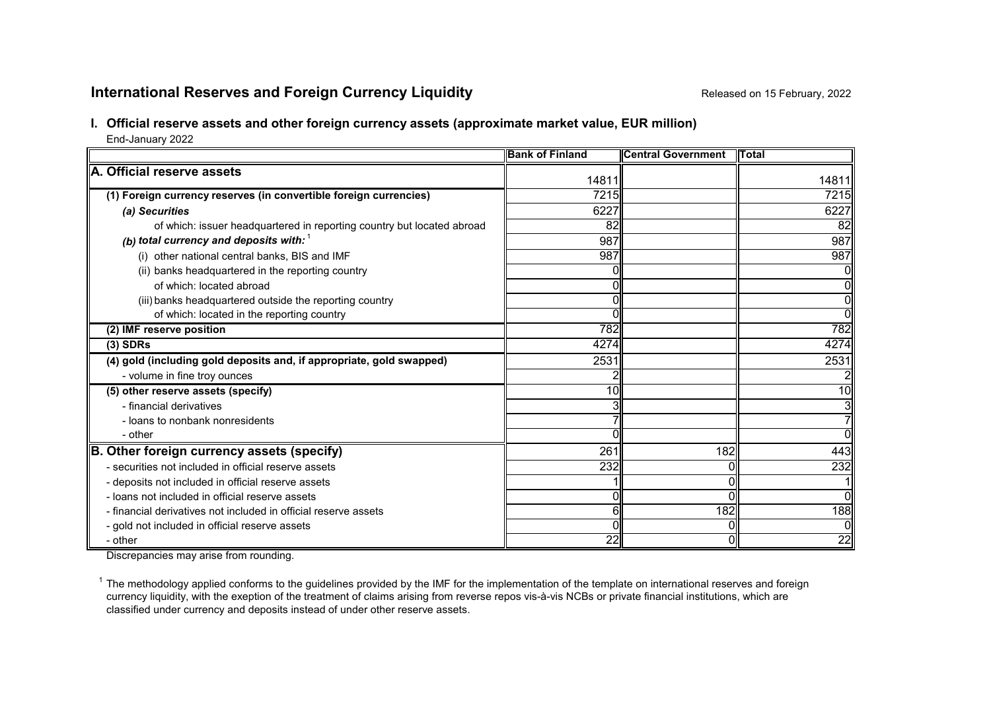# **International Reserves and Foreign Currency Liquidity Repart 2022** Released on 15 February, 2022

## **I. Official reserve assets and other foreign currency assets (approximate market value, EUR million)**

End-January 2022

|                                                                        | <b>Bank of Finland</b> | <b>Central Government</b> | <b>ITotal</b>  |
|------------------------------------------------------------------------|------------------------|---------------------------|----------------|
| A. Official reserve assets                                             | 14811                  |                           | 14811          |
|                                                                        | 7215                   |                           | 7215           |
| (1) Foreign currency reserves (in convertible foreign currencies)      |                        |                           |                |
| (a) Securities                                                         | 6227                   |                           | 6227           |
| of which: issuer headquartered in reporting country but located abroad | 82                     |                           | 82             |
| (b) total currency and deposits with: $1$                              | 987                    |                           | 987            |
| (i) other national central banks, BIS and IMF                          | 987                    |                           | 987            |
| (ii) banks headquartered in the reporting country                      |                        |                           | 0              |
| of which: located abroad                                               |                        |                           | $\overline{0}$ |
| (iii) banks headquartered outside the reporting country                |                        |                           | 0              |
| of which: located in the reporting country                             |                        |                           | Ō              |
| (2) IMF reserve position                                               | 782                    |                           | 782            |
| $(3)$ SDRs                                                             | 4274                   |                           | 4274           |
| (4) gold (including gold deposits and, if appropriate, gold swapped)   | 2531                   |                           | 2531           |
| - volume in fine troy ounces                                           |                        |                           |                |
| (5) other reserve assets (specify)                                     |                        |                           | 10             |
| - financial derivatives                                                |                        |                           | 3              |
| - loans to nonbank nonresidents                                        |                        |                           | 7              |
| - other                                                                |                        |                           | ΩI             |
| B. Other foreign currency assets (specify)                             | 261                    | 182                       | 443            |
| - securities not included in official reserve assets                   | 232                    |                           | 232            |
| - deposits not included in official reserve assets                     |                        | U                         |                |
| - loans not included in official reserve assets                        |                        |                           | Οl             |
| - financial derivatives not included in official reserve assets        | 6                      | 182                       | 188            |
| - gold not included in official reserve assets                         |                        |                           | $\Omega$       |
| - other                                                                | 22                     |                           | 22             |

Discrepancies may arise from rounding.

 $1$  The methodology applied conforms to the guidelines provided by the IMF for the implementation of the template on international reserves and foreign currency liquidity, with the exeption of the treatment of claims arising from reverse repos vis-à-vis NCBs or private financial institutions, which are classified under currency and deposits instead of under other reserve assets.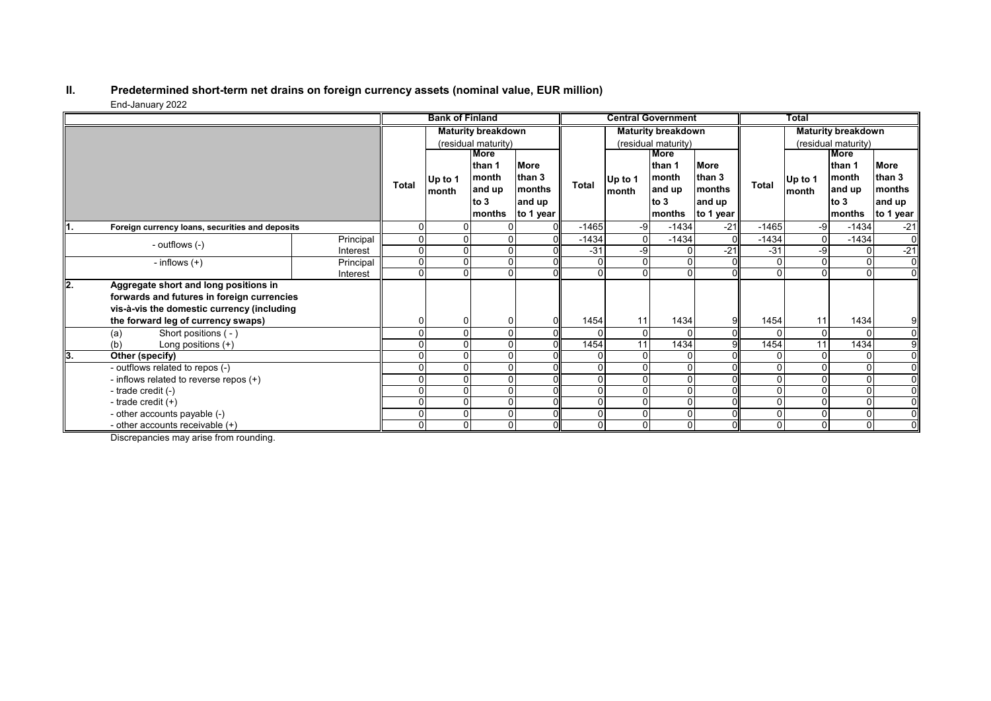#### **II. Predetermined short-term net drains on foreign currency assets (nominal value, EUR million)** End-January 2022

|      |                                                 |                           |                     | <b>Bank of Finland</b> |                           |                     |                  |                           | <b>Central Government</b> |              |                  | <b>Total</b>   |               |                |
|------|-------------------------------------------------|---------------------------|---------------------|------------------------|---------------------------|---------------------|------------------|---------------------------|---------------------------|--------------|------------------|----------------|---------------|----------------|
|      |                                                 | <b>Maturity breakdown</b> |                     |                        | <b>Maturity breakdown</b> |                     |                  | <b>Maturity breakdown</b> |                           |              |                  |                |               |                |
|      |                                                 |                           | (residual maturity) |                        |                           | (residual maturity) |                  |                           | (residual maturity)       |              |                  |                |               |                |
|      |                                                 |                           |                     | More                   |                           |                     |                  |                           | <b>More</b>               |              |                  |                | More          |                |
|      |                                                 |                           |                     |                        | lthan 1                   | <b>More</b>         |                  |                           | than 1                    | <b>More</b>  |                  |                | than 1        | <b>More</b>    |
|      |                                                 | <b>Total</b>              | Up to 1<br>month    | month                  | than 3                    | Total               | Up to 1<br>month | month                     | than 3<br>months          | <b>Total</b> | Up to 1<br>month | month          | than 3        |                |
|      |                                                 |                           |                     | and up                 | <b>months</b>             |                     |                  | and up                    |                           |              |                  | and up         | <b>months</b> |                |
|      |                                                 |                           |                     |                        | to $3$                    | and up              |                  |                           | to $3$                    | and up       |                  |                | to $3$        | and up         |
|      |                                                 |                           |                     |                        | months                    | to 1 year           |                  |                           | months                    | to 1 year    |                  |                | months        | to 1 year      |
| ll1. | Foreign currency loans, securities and deposits |                           | ŋ                   |                        |                           | $\Omega$            | $-1465$          | -9                        | $-1434$                   | $-21$        | $-1465$          | -9             | $-1434$       | $-21$          |
|      | - outflows (-)                                  | Principal                 | 0                   |                        |                           |                     | $-1434$          | $\Omega$                  | $-1434$                   | $\sqrt{ }$   | $-1434$          | $\overline{0}$ | $-1434$       | $\overline{0}$ |
|      |                                                 | Interest                  | 0                   |                        |                           |                     | $-31$            | $-9$                      |                           | $-21$        | $-31$            | -9             |               | $-21$          |
|      | - inflows $(+)$                                 | Principal                 | $\Omega$            |                        |                           |                     |                  |                           |                           |              |                  | $\Omega$       | $\Omega$      | $\overline{0}$ |
|      |                                                 | Interest                  | 0                   |                        | O                         |                     | U                |                           |                           |              |                  | O              | $\Omega$      | $\overline{0}$ |
| l2.  | Aggregate short and long positions in           |                           |                     |                        |                           |                     |                  |                           |                           |              |                  |                |               |                |
|      | forwards and futures in foreign currencies      |                           |                     |                        |                           |                     |                  |                           |                           |              |                  |                |               |                |
|      | vis-à-vis the domestic currency (including      |                           |                     |                        |                           |                     |                  |                           |                           |              |                  |                |               |                |
|      | the forward leg of currency swaps)              |                           |                     |                        |                           |                     | 1454             | 11                        | 1434                      | 9            | 1454             | 11             | 1434          |                |
|      | Short positions (-)<br>(a)                      |                           |                     |                        |                           | ΩI                  |                  | $\Omega$                  |                           | $\sqrt{ }$   |                  | $\Omega$       |               | $\overline{0}$ |
|      | Long positions $(+)$<br>(b)                     |                           |                     |                        |                           |                     | 1454             | 11                        | 1434                      | $\mathbf{Q}$ | 1454             | 11             | 1434          | 9 <sup>1</sup> |
| 13.  | Other (specify)                                 |                           |                     |                        |                           |                     |                  |                           |                           |              |                  | 0              |               | $\overline{0}$ |
|      | - outflows related to repos (-)                 |                           |                     |                        |                           |                     |                  |                           |                           |              |                  |                | $\Omega$      | ΟI             |
|      | - inflows related to reverse repos (+)          |                           |                     |                        |                           |                     |                  |                           |                           |              |                  |                |               | $\overline{0}$ |
|      | - trade credit (-)                              |                           |                     |                        |                           |                     |                  |                           |                           |              |                  | 0              |               | $\overline{0}$ |
|      | - trade credit $(+)$                            |                           |                     |                        |                           | ΩI                  |                  |                           |                           |              | $\Omega$         | $\Omega$       | $\Omega$      | $\overline{0}$ |
|      | - other accounts payable (-)                    |                           |                     |                        |                           |                     |                  |                           |                           |              | $\mathbf{0}$     | $\Omega$       | $\Omega$      | $\overline{0}$ |
|      | - other accounts receivable $(+)$               |                           | 0                   |                        | $\Omega$                  |                     | 0                | $\Omega$                  |                           |              | 0                | $\overline{0}$ | $\Omega$      | $\overline{0}$ |

Discrepancies may arise from rounding.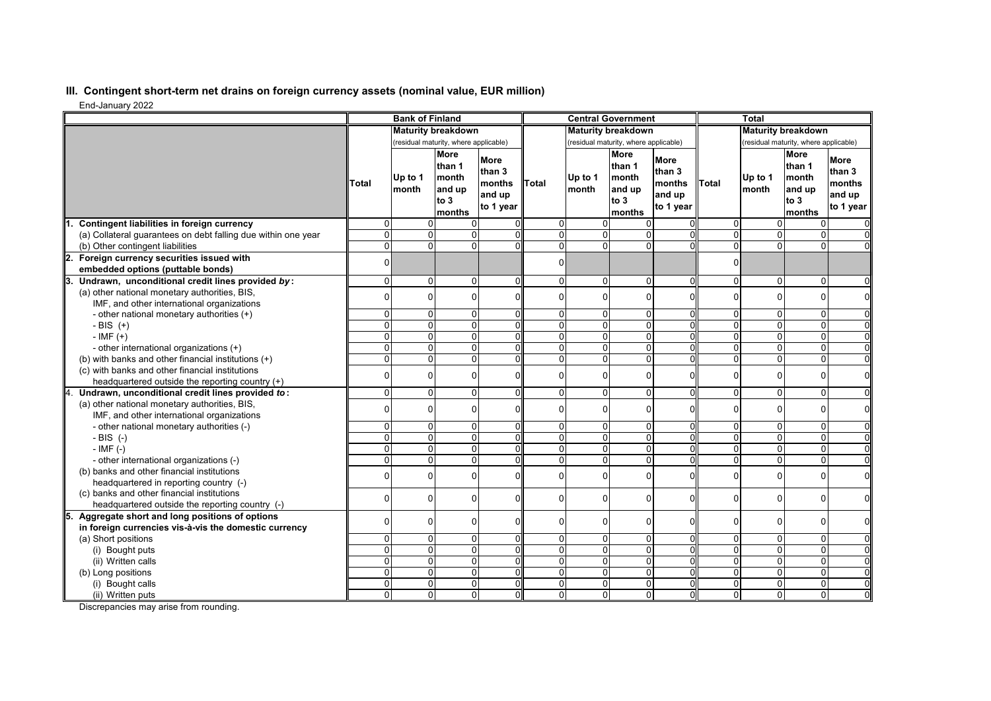## **III. Contingent short-term net drains on foreign currency assets (nominal value, EUR million)**

End-January 2022

| Liiu-Jaliual y ZUZZ                                                                   | <b>Bank of Finland</b> |                                       |                                                              | <b>Central Government</b>                              |                            |                      |                                                            | <b>Total</b>                                           |                     |                                       |                                                            |                                                        |
|---------------------------------------------------------------------------------------|------------------------|---------------------------------------|--------------------------------------------------------------|--------------------------------------------------------|----------------------------|----------------------|------------------------------------------------------------|--------------------------------------------------------|---------------------|---------------------------------------|------------------------------------------------------------|--------------------------------------------------------|
|                                                                                       |                        |                                       | <b>Maturity breakdown</b>                                    |                                                        |                            |                      | <b>Maturity breakdown</b>                                  |                                                        |                     | <b>Maturity breakdown</b>             |                                                            |                                                        |
|                                                                                       |                        | (residual maturity, where applicable) |                                                              |                                                        |                            |                      | (residual maturity, where applicable)                      |                                                        |                     | (residual maturity, where applicable) |                                                            |                                                        |
|                                                                                       | Total                  | Up to 1<br>Imonth                     | <b>More</b><br>than 1<br>month<br>and up<br>to $3$<br>months | <b>More</b><br>than 3<br>months<br>and up<br>to 1 year | Total                      | Up to 1<br>month     | <b>More</b><br>than 1<br>month<br>and up<br>to 3<br>months | <b>More</b><br>than 3<br>months<br>and up<br>to 1 year | <b>Total</b>        | Up to 1<br>month                      | <b>More</b><br>than 1<br>month<br>and up<br>to 3<br>months | <b>More</b><br>than 3<br>months<br>and up<br>to 1 year |
| Contingent liabilities in foreign currency                                            | $\Omega$               | $\Omega$                              | $\Omega$                                                     |                                                        | $\Omega$                   | $\Omega$             | 0                                                          |                                                        | $\Omega$            | 0                                     | 0                                                          |                                                        |
| (a) Collateral quarantees on debt falling due within one year                         | $\Omega$               | $\Omega$                              | $\Omega$                                                     | ΩI                                                     | $\Omega$                   | $\Omega$             | 0                                                          | O                                                      | $\Omega$            | $\overline{0}$                        | $\mathbf 0$                                                |                                                        |
| (b) Other contingent liabilities                                                      | $\Omega$               | $\Omega$                              | $\Omega$                                                     | ΩI                                                     | $\overline{0}$             | $\overline{0}$       | $\mathbf 0$                                                | 0                                                      | $\overline{0}$      | $\overline{0}$                        | $\mathbf 0$                                                |                                                        |
| Foreign currency securities issued with<br>12.                                        | $\Omega$               |                                       |                                                              |                                                        | $\Omega$                   |                      |                                                            |                                                        | $\Omega$            |                                       |                                                            |                                                        |
| embedded options (puttable bonds)                                                     |                        |                                       |                                                              |                                                        |                            |                      |                                                            |                                                        |                     |                                       |                                                            |                                                        |
| Undrawn, unconditional credit lines provided by:                                      | $\Omega$               | $\Omega$                              | $\Omega$                                                     | $\Omega$                                               | $\overline{0}$             | $\Omega$             | $\mathbf 0$                                                | $\Omega$                                               | $\overline{0}$      | 0                                     | $\mathbf 0$                                                | $\Omega$                                               |
| (a) other national monetary authorities, BIS,                                         | $\Omega$               | $\Omega$                              | $\Omega$                                                     | $\Omega$                                               | $\Omega$                   | $\Omega$             | 0                                                          | $\Omega$                                               | $\Omega$            | $\Omega$                              | 0                                                          | $\Omega$                                               |
| IMF, and other international organizations                                            |                        |                                       |                                                              |                                                        |                            |                      |                                                            |                                                        |                     |                                       |                                                            |                                                        |
| - other national monetary authorities (+)                                             | $\Omega$               | $\Omega$                              | $\Omega$                                                     | $\Omega$                                               | $\Omega$                   | $\overline{0}$       | 0                                                          | 0                                                      | 0                   | $\overline{0}$                        | $\mathbf 0$                                                |                                                        |
| - BIS $(+)$                                                                           | $\Omega$               | $\Omega$                              | $\Omega$                                                     | $\Omega$                                               | $\overline{0}$             | $\overline{0}$       | $\mathbf 0$                                                | $\Omega$                                               | 0                   | $\overline{0}$                        | $\overline{0}$                                             | $\Omega$                                               |
| $-IMF (+)$                                                                            | $\Omega$               | $\Omega$                              | $\Omega$                                                     | $\Omega$                                               | $\Omega$                   | $\Omega$             | 0                                                          | $\Omega$                                               | $\mathbf{0}$        | $\overline{0}$                        | 0                                                          | $\Omega$                                               |
| - other international organizations (+)                                               | $\Omega$               | $\Omega$                              | $\Omega$                                                     | ΩI                                                     | $\Omega$                   | $\Omega$             | 0                                                          |                                                        | $\Omega$            | $\Omega$                              | 0                                                          | $\Omega$                                               |
| (b) with banks and other financial institutions (+)                                   | $\Omega$               | $\Omega$                              | $\Omega$                                                     | $\Omega$                                               | $\Omega$                   | $\overline{0}$       | 0                                                          | $\Omega$                                               | $\overline{0}$      | $\overline{0}$                        | $\mathbf 0$                                                | 0                                                      |
| (c) with banks and other financial institutions                                       | $\Omega$               | $\Omega$                              | <sup>0</sup>                                                 | $\Omega$                                               | $\Omega$                   | $\Omega$             | 0                                                          | $\Omega$                                               | $\overline{0}$      | 0                                     | $\mathbf 0$                                                | 0                                                      |
| headquartered outside the reporting country (+)                                       |                        |                                       |                                                              |                                                        |                            |                      |                                                            |                                                        |                     |                                       |                                                            |                                                        |
| Undrawn, unconditional credit lines provided to:                                      | $\Omega$               | $\Omega$                              | $\Omega$                                                     | $\Omega$                                               | $\Omega$                   | $\Omega$             | $\Omega$                                                   | $\Omega$                                               | 0                   | 0                                     | 0                                                          | $\Omega$                                               |
| (a) other national monetary authorities, BIS,                                         | $\Omega$               | $\Omega$                              | $\Omega$                                                     | $\Omega$                                               | $\Omega$                   | $\Omega$             | 0                                                          | $\Omega$                                               | $\overline{0}$      | 0                                     | $\mathbf 0$                                                | 0                                                      |
| IMF, and other international organizations                                            |                        |                                       |                                                              |                                                        |                            |                      |                                                            |                                                        |                     |                                       |                                                            |                                                        |
| - other national monetary authorities (-)                                             | $\Omega$<br>$\Omega$   | $\Omega$<br>$\Omega$                  | $\Omega$<br>$\Omega$                                         | 0<br>$\Omega$                                          | $\Omega$<br>$\overline{0}$ | $\mathbf{0}$         | 0<br>0                                                     | 0<br>$\Omega$                                          | 0<br>$\overline{0}$ | $\overline{0}$                        | $\mathbf 0$                                                | $\Omega$<br>$\Omega$                                   |
| $-BIS$ (-)                                                                            | $\Omega$               | $\Omega$                              | $\Omega$                                                     |                                                        | $\Omega$                   | $\mathbf{0}$         | $\Omega$                                                   | 0                                                      | $\mathbf{0}$        | $\overline{0}$<br>$\overline{0}$      | 0<br>$\overline{0}$                                        | $\overline{0}$                                         |
| $-$ IMF $(-)$                                                                         | $\Omega$               | $\Omega$                              | $\Omega$                                                     | $\Omega$<br>ΩI                                         | $\Omega$                   | $\Omega$<br>$\Omega$ | 0                                                          | U                                                      | $\Omega$            | $\overline{0}$                        | 0                                                          | $\Omega$                                               |
| - other international organizations (-)<br>(b) banks and other financial institutions |                        |                                       |                                                              |                                                        |                            |                      |                                                            |                                                        |                     |                                       |                                                            |                                                        |
| headquartered in reporting country (-)                                                | $\Omega$               | $\Omega$                              | $\Omega$                                                     | $\Omega$                                               | $\Omega$                   | $\Omega$             | 0                                                          | 0                                                      | $\overline{0}$      | 0                                     | $\mathbf 0$                                                | $\mathbf 0$                                            |
| (c) banks and other financial institutions                                            |                        |                                       |                                                              |                                                        |                            |                      |                                                            |                                                        |                     |                                       |                                                            |                                                        |
| headquartered outside the reporting country (-)                                       | U                      | $\Omega$                              | $\Omega$                                                     | $\Omega$                                               | $\Omega$                   | $\mathbf{0}$         | O                                                          | U                                                      | $\Omega$            | 0                                     | $\Omega$                                                   | $\Omega$                                               |
| Aggregate short and long positions of options                                         |                        |                                       |                                                              |                                                        |                            |                      |                                                            |                                                        |                     |                                       |                                                            |                                                        |
| in foreign currencies vis-à-vis the domestic currency                                 | $\Omega$               | $\Omega$                              | $\Omega$                                                     | $\mathbf 0$                                            | $\Omega$                   | $\overline{0}$       | 0                                                          | $\Omega$                                               | $\overline{0}$      | 0                                     | 0                                                          | $\Omega$                                               |
| (a) Short positions                                                                   | $\Omega$               | $\Omega$                              | $\Omega$                                                     | $\Omega$                                               | $\Omega$                   | $\overline{0}$       | 0                                                          | U                                                      | $\overline{0}$      | $\overline{0}$                        | 0                                                          | $\Omega$                                               |
| (i) Bought puts                                                                       | $\Omega$               | $\Omega$                              | $\Omega$                                                     | $\Omega$                                               | $\Omega$                   | $\overline{0}$       | $\mathbf 0$                                                | $\Omega$                                               | $\overline{0}$      | $\overline{0}$                        | 0                                                          | $\Omega$                                               |
| (ii) Written calls                                                                    | $\Omega$               | $\overline{0}$                        | $\overline{0}$                                               | $\Omega$                                               | 0                          | $\Omega$             | $\Omega$                                                   | 0                                                      | $\overline{0}$      | $\overline{0}$                        | $\overline{0}$                                             | $\overline{0}$                                         |
| (b) Long positions                                                                    | $\Omega$               | $\Omega$                              | $\Omega$                                                     | ΩI                                                     | $\Omega$                   | $\Omega$             | $\Omega$                                                   | $\Omega$                                               | $\Omega$            | $\overline{0}$                        | 0                                                          | $\Omega$                                               |
| (i) Bought calls                                                                      | $\Omega$               | $\Omega$                              | $\Omega$                                                     | $\Omega$                                               | $\Omega$                   | $\overline{0}$       | 0                                                          | $\Omega$                                               | $\overline{0}$      | $\overline{0}$                        | 0                                                          | $\Omega$                                               |
| (ii) Written puts                                                                     | $\Omega$               | $\Omega$                              | $\Omega$                                                     | $\mathbf 0$                                            | $\Omega$                   | $\overline{0}$       | $\overline{0}$                                             | $\Omega$                                               | $\Omega$            | $\overline{0}$                        | 0                                                          | $\Omega$                                               |

Discrepancies may arise from rounding.